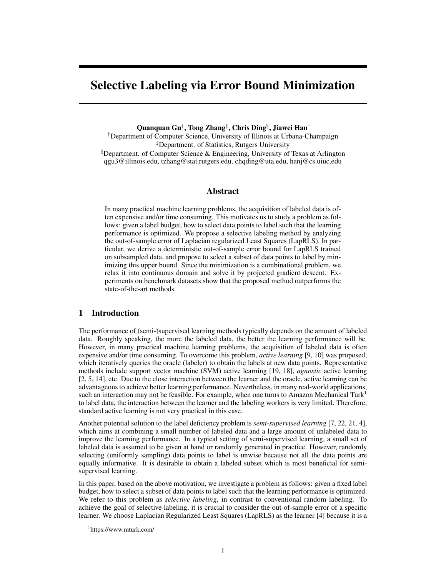# Selective Labeling via Error Bound Minimization

Quanquan Gu*†* , Tong Zhang*‡* , Chris Ding*§* , Jiawei Han*†*

*†*Department of Computer Science, University of Illinois at Urbana-Champaign *‡*Department. of Statistics, Rutgers University *§*Department. of Computer Science & Engineering, University of Texas at Arlington qgu3@illinois.edu, tzhang@stat.rutgers.edu, chqding@uta.edu, hanj@cs.uiuc.edu

## Abstract

In many practical machine learning problems, the acquisition of labeled data is often expensive and/or time consuming. This motivates us to study a problem as follows: given a label budget, how to select data points to label such that the learning performance is optimized. We propose a selective labeling method by analyzing the out-of-sample error of Laplacian regularized Least Squares (LapRLS). In particular, we derive a deterministic out-of-sample error bound for LapRLS trained on subsampled data, and propose to select a subset of data points to label by minimizing this upper bound. Since the minimization is a combinational problem, we relax it into continuous domain and solve it by projected gradient descent. Experiments on benchmark datasets show that the proposed method outperforms the state-of-the-art methods.

# 1 Introduction

The performance of (semi-)supervised learning methods typically depends on the amount of labeled data. Roughly speaking, the more the labeled data, the better the learning performance will be. However, in many practical machine learning problems, the acquisition of labeled data is often expensive and/or time consuming. To overcome this problem, *active learning* [9, 10] was proposed, which iteratively queries the oracle (labeler) to obtain the labels at new data points. Representative methods include support vector machine (SVM) active learning [19, 18], *agnostic* active learning [2, 5, 14], etc. Due to the close interaction between the learner and the oracle, active learning can be advantageous to achieve better learning performance. Nevertheless, in many real-world applications, such an interaction may not be feasible. For example, when one turns to Amazon Mechanical Turk<sup>1</sup> to label data, the interaction between the learner and the labeling workers is very limited. Therefore, standard active learning is not very practical in this case.

Another potential solution to the label deficiency problem is *semi-supervised learning* [7, 22, 21, 4], which aims at combining a small number of labeled data and a large amount of unlabeled data to improve the learning performance. In a typical setting of semi-supervised learning, a small set of labeled data is assumed to be given at hand or randomly generated in practice. However, randomly selecting (uniformly sampling) data points to label is unwise because not all the data points are equally informative. It is desirable to obtain a labeled subset which is most beneficial for semisupervised learning.

In this paper, based on the above motivation, we investigate a problem as follows: given a fixed label budget, how to select a subset of data points to label such that the learning performance is optimized. We refer to this problem as *selective labeling*, in contrast to conventional random labeling. To achieve the goal of selective labeling, it is crucial to consider the out-of-sample error of a specific learner. We choose Laplacian Regularized Least Squares (LapRLS) as the learner [4] because it is a

<sup>1</sup> https://www.mturk.com/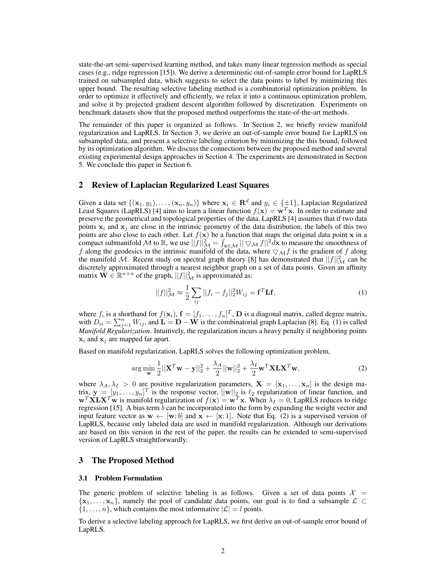state-the-art semi-supervised learning method, and takes many linear regression methods as special cases (e.g., ridge regression [15]). We derive a deterministic out-of-sample error bound for LapRLS trained on subsampled data, which suggests to select the data points to label by minimizing this upper bound. The resulting selective labeling method is a combinatorial optimization problem. In order to optimize it effectively and efficiently, we relax it into a continuous optimization problem, and solve it by projected gradient descent algorithm followed by discretization. Experiments on benchmark datasets show that the proposed method outperforms the state-of-the-art methods.

The remainder of this paper is organized as follows. In Section 2, we briefly review manifold regularization and LapRLS. In Section 3, we derive an out-of-sample error bound for LapRLS on subsampled data, and present a selective labeling criterion by minimizing the this bound, followed by its optimization algorithm. We discuss the connections between the proposed method and several existing experimental design approaches in Section 4. The experiments are demonstrated in Section 5. We conclude this paper in Section 6.

## 2 Review of Laplacian Regularized Least Squares

Given a data set  $\{(\mathbf{x}_1, y_1), \dots, (\mathbf{x}_n, y_n)\}$  where  $\mathbf{x}_i \in \mathbb{R}^d$  and  $y_i \in \{\pm 1\}$ , Laplacian Regularized Least Squares (LapRLS) [4] aims to learn a linear function  $f(\mathbf{x}) = \mathbf{w}^T \mathbf{x}$ . In order to estimate and preserve the geometrical and topological properties of the data, LapRLS [4] assumes that if two data points  $x_i$  and  $x_j$  are close in the intrinsic geometry of the data distribution, the labels of this two points are also close to each other. Let  $f(\mathbf{x})$  be a function that maps the original data point **x** in a compact submanifold *M* to R, we use  $||f||^2$   $\mathcal{A} = \int_{\mathbf{x} \in \mathcal{M}} || \nabla \mathcal{M} f||^2 d\mathbf{x}$  to measure the smoothness of *f* along the geodesics in the intrinsic manifold of the data, where *▽Mf* is the gradient of *f* along the manifold M. Recent study on spectral graph theory [8] has demonstrated that  $||f||_{\mathcal{M}}^2$  can be discretely approximated through a nearest neighbor graph on a set of data points. Given an affinity matrix  $\dot{W} \in \mathbb{R}^{n \times n}$  of the graph,  $||f||^2_{\mathcal{M}}$  is approximated as:

$$
||f||_{\mathcal{M}}^{2} \approx \frac{1}{2} \sum_{ij} ||f_{i} - f_{j}||_{2}^{2} W_{ij} = \mathbf{f}^{T} \mathbf{L} \mathbf{f},
$$
\n(1)

where  $f_i$  is a shorthand for  $f(\mathbf{x}_i)$ ,  $\mathbf{f} = [f_1, \dots, f_n]^T$ , **D** is a diagonal matrix, called degree matrix, with  $D_{ii} = \sum_{j=1}^{n} W_{ij}$ , and  $\hat{\bf{L}} = {\bf{D}} - {\bf{W}}$  is the combinatorial graph Laplacian [8]. Eq. (1) is called *Manifold Regularization*. Intuitively, the regularization incurs a heavy penalty if neighboring points **x***<sup>i</sup>* and **x***<sup>j</sup>* are mapped far apart.

Based on manifold regularization, LapRLS solves the following optimization problem,

$$
\arg\min_{\mathbf{w}} \frac{1}{2} ||\mathbf{X}^T \mathbf{w} - \mathbf{y}||_2^2 + \frac{\lambda_A}{2} ||\mathbf{w}||_2^2 + \frac{\lambda_I}{2} \mathbf{w}^T \mathbf{X} \mathbf{L} \mathbf{X}^T \mathbf{w},\tag{2}
$$

where  $\lambda_A, \lambda_I > 0$  are positive regularization parameters,  $\mathbf{X} = [\mathbf{x}_1, \dots, \mathbf{x}_n]$  is the design matrix,  $\mathbf{y} = [y_1, \dots, y_n]^T$  is the response vector,  $||\mathbf{w}||_2$  is  $\ell_2$  regularization of linear function, and  $\mathbf{w}^T \mathbf{X} \mathbf{L} \mathbf{X}^T \mathbf{w}$  is manifold regularization of  $f(\mathbf{x}) = \mathbf{w}^T \mathbf{x}$ . When  $\lambda_I = 0$ , LapRLS reduces to ridge regression [15]. A bias term *b* can be incorporated into the form by expanding the weight vector and input feature vector as  $\mathbf{w} \leftarrow [\mathbf{w}; b]$  and  $\mathbf{x} \leftarrow [\mathbf{x}; 1]$ . Note that Eq. (2) is a supervised version of LapRLS, because only labeled data are used in manifold regularization. Although our derivations are based on this version in the rest of the paper, the results can be extended to semi-supervised version of LapRLS straightforwardly.

## 3 The Proposed Method

#### 3.1 Problem Formulation

The generic problem of selective labeling is as follows. Given a set of data points  $\mathcal{X} =$  $\{x_1, \ldots, x_n\}$ , namely the pool of candidate data points, our goal is to find a subsample  $\mathcal{L} \subset$  ${1, \ldots, n}$ , which contains the most informative  $|\mathcal{L}| = l$  points.

To derive a selective labeling approach for LapRLS, we first derive an out-of-sample error bound of LapRLS.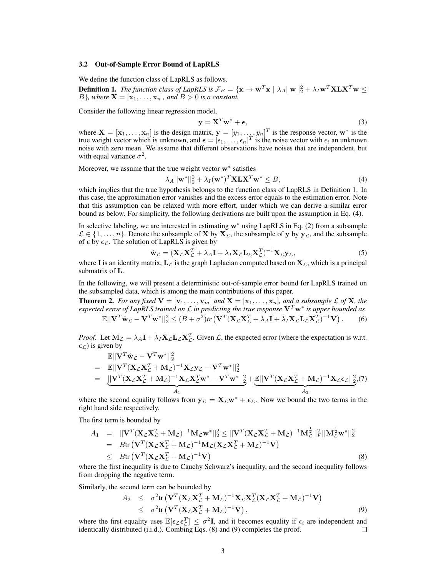#### 3.2 Out-of-Sample Error Bound of LapRLS

We define the function class of LapRLS as follows.

**Definition 1.** The function class of LapRLS is  $\mathcal{F}_B = \{ \mathbf{x} \to \mathbf{w}^T\mathbf{x} \mid \lambda_A ||\mathbf{w}||_2^2 + \lambda_I \mathbf{w}^T\mathbf{X}\mathbf{L}\mathbf{X}^T\mathbf{w} \leq$ *B*<sup>}</sup>*, where*  $\mathbf{X} = [\mathbf{x}_1, \dots, \mathbf{x}_n]$ *, and*  $B > 0$  *is a constant.* 

Consider the following linear regression model,

$$
y = X^T w^* + \epsilon,
$$
 (3)

where  $\mathbf{X} = [\mathbf{x}_1, \dots, \mathbf{x}_n]$  is the design matrix,  $\mathbf{y} = [y_1, \dots, y_n]^T$  is the response vector,  $\mathbf{w}^*$  is the true weight vector which is unknown, and  $\epsilon = [\epsilon_1, \dots, \epsilon_n]^T$  is the noise vector with  $\epsilon_i$  an unknown noise with zero mean. We assume that different observations have noises that are independent, but with equal variance  $\sigma^2$ .

Moreover, we assume that the true weight vector **w***<sup>∗</sup>* satisfies

$$
\lambda_A ||\mathbf{w}^*||_2^2 + \lambda_I (\mathbf{w}^*)^T \mathbf{X} \mathbf{L} \mathbf{X}^T \mathbf{w}^* \le B,
$$
\n(4)

which implies that the true hypothesis belongs to the function class of LapRLS in Definition 1. In this case, the approximation error vanishes and the excess error equals to the estimation error. Note that this assumption can be relaxed with more effort, under which we can derive a similar error bound as below. For simplicity, the following derivations are built upon the assumption in Eq. (4).

In selective labeling, we are interested in estimating **w***<sup>∗</sup>* using LapRLS in Eq. (2) from a subsample  $\mathcal{L} \in \{1, \ldots, n\}$ . Denote the subsample of **X** by  $\mathbf{X}_{\mathcal{L}}$ , the subsample of **y** by  $\mathbf{y}_{\mathcal{L}}$ , and the subsample of  $\epsilon$  by  $\epsilon_{\mathcal{L}}$ . The solution of LapRLS is given by

$$
\hat{\mathbf{w}}_{\mathcal{L}} = (\mathbf{X}_{\mathcal{L}} \mathbf{X}_{\mathcal{L}}^T + \lambda_A \mathbf{I} + \lambda_I \mathbf{X}_{\mathcal{L}} \mathbf{L}_{\mathcal{L}} \mathbf{X}_{\mathcal{L}}^T)^{-1} \mathbf{X}_{\mathcal{L}} \mathbf{y}_{\mathcal{L}},
$$
\n(5)

where **I** is an identity matrix,  $\mathbf{L}_{\mathcal{L}}$  is the graph Laplacian computed based on  $\mathbf{X}_{\mathcal{L}}$ , which is a principal submatrix of **L**.

In the following, we will present a deterministic out-of-sample error bound for LapRLS trained on the subsampled data, which is among the main contributions of this paper.

**Theorem 2.** For any fixed  $\mathbf{V} = [\mathbf{v}_1, \dots, \mathbf{v}_m]$  and  $\mathbf{X} = [\mathbf{x}_1, \dots, \mathbf{x}_n]$ , and a subsample  $\mathcal{L}$  of  $\mathbf{X}$ *, the expected error of LapRLS trained on L in predicting the true response* **V***<sup>T</sup>* **w***<sup>∗</sup> is upper bounded as*  $\mathbb{E}||\mathbf{V}^T\hat{\mathbf{w}}_{\mathcal{L}}-\mathbf{V}^T\mathbf{w}^*||_2^2 \leq (B+\sigma^2)tr\left(\mathbf{V}^T(\mathbf{X}_{\mathcal{L}}\mathbf{X}_{\mathcal{L}}^T+\lambda_A\mathbf{I}+\lambda_I\mathbf{X}_{\mathcal{L}}\mathbf{L}_{\mathcal{L}}\mathbf{X}_{\mathcal{L}}^T)^{-1}\mathbf{V}\right)$ *.* (6)

*Proof.* Let  $M_{\mathcal{L}} = \lambda_A \mathbf{I} + \lambda_I \mathbf{X}_{\mathcal{L}} \mathbf{L}_{\mathcal{L}} \mathbf{X}_{\mathcal{L}}^T$ . Given  $\mathcal{L}$ , the expected error (where the expectation is w.r.t.  $\epsilon_L$ ) is given by

$$
\mathbb{E}||\mathbf{V}^T \hat{\mathbf{w}}_{\mathcal{L}} - \mathbf{V}^T \mathbf{w}^*||_2^2
$$
\n
$$
= \mathbb{E}||\mathbf{V}^T (\mathbf{X}_{\mathcal{L}} \mathbf{X}_{\mathcal{L}}^T + \mathbf{M}_{\mathcal{L}})^{-1} \mathbf{X}_{\mathcal{L}} \mathbf{y}_{\mathcal{L}} - \mathbf{V}^T \mathbf{w}^*||_2^2
$$
\n
$$
= \underbrace{||\mathbf{V}^T (\mathbf{X}_{\mathcal{L}} \mathbf{X}_{\mathcal{L}}^T + \mathbf{M}_{\mathcal{L}})^{-1} \mathbf{X}_{\mathcal{L}} \mathbf{X}_{\mathcal{L}}^T \mathbf{w}^* - \mathbf{V}^T \mathbf{w}^*||_2^2}_{A_1} + \underbrace{\mathbb{E}||\mathbf{V}^T (\mathbf{X}_{\mathcal{L}} \mathbf{X}_{\mathcal{L}}^T + \mathbf{M}_{\mathcal{L}})^{-1} \mathbf{X}_{\mathcal{L}} \epsilon_{\mathcal{L}}||_2^2, (7)
$$

where the second equality follows from  $y_L = X_L w^* + \epsilon_L$ . Now we bound the two terms in the right hand side respectively.

The first term is bounded by

$$
A_1 = ||\mathbf{V}^T (\mathbf{X}_{\mathcal{L}} \mathbf{X}_{\mathcal{L}}^T + \mathbf{M}_{\mathcal{L}})^{-1} \mathbf{M}_{\mathcal{L}} \mathbf{w}^*||_2^2 \le ||\mathbf{V}^T (\mathbf{X}_{\mathcal{L}} \mathbf{X}_{\mathcal{L}}^T + \mathbf{M}_{\mathcal{L}})^{-1} \mathbf{M}_{\mathcal{L}}^{\frac{1}{2}}||_F^2 ||\mathbf{M}_{\mathcal{L}}^{\frac{1}{2}} \mathbf{w}^*||_2^2
$$
  
\n
$$
= B \text{tr} \left( \mathbf{V}^T (\mathbf{X}_{\mathcal{L}} \mathbf{X}_{\mathcal{L}}^T + \mathbf{M}_{\mathcal{L}})^{-1} \mathbf{M}_{\mathcal{L}} (\mathbf{X}_{\mathcal{L}} \mathbf{X}_{\mathcal{L}}^T + \mathbf{M}_{\mathcal{L}})^{-1} \mathbf{V} \right)
$$
  
\n
$$
\le B \text{tr} \left( \mathbf{V}^T (\mathbf{X}_{\mathcal{L}} \mathbf{X}_{\mathcal{L}}^T + \mathbf{M}_{\mathcal{L}})^{-1} \mathbf{V} \right)
$$
(8)

where the first inequality is due to Cauchy Schwarz's inequality, and the second inequality follows from dropping the negative term.

Similarly, the second term can be bounded by

$$
A_2 \leq \sigma^2 tr \left( \mathbf{V}^T (\mathbf{X}_{\mathcal{L}} \mathbf{X}_{\mathcal{L}}^T + \mathbf{M}_{\mathcal{L}})^{-1} \mathbf{X}_{\mathcal{L}} \mathbf{X}_{\mathcal{L}}^T (\mathbf{X}_{\mathcal{L}} \mathbf{X}_{\mathcal{L}}^T + \mathbf{M}_{\mathcal{L}})^{-1} \mathbf{V} \right) \leq \sigma^2 tr \left( \mathbf{V}^T (\mathbf{X}_{\mathcal{L}} \mathbf{X}_{\mathcal{L}}^T + \mathbf{M}_{\mathcal{L}})^{-1} \mathbf{V} \right),
$$
\n(9)

where the first equality uses  $\mathbb{E}[\epsilon_{\mathcal{L}} \epsilon_{\mathcal{L}}^T] \leq \sigma^2 \mathbf{I}$ , and it becomes equality if  $\epsilon_i$  are independent and identically distributed (i.i.d.). Combing Eqs. (8) and (9) completes the proof. □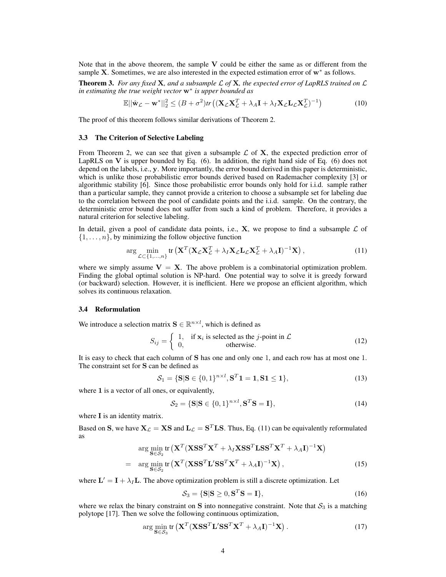Note that in the above theorem, the sample **V** could be either the same as or different from the sample **X**. Sometimes, we are also interested in the expected estimation error of **w***<sup>∗</sup>* as follows.

Theorem 3. *For any fixed* **X***, and a subsample L of* **X***, the expected error of LapRLS trained on L in estimating the true weight vector* **w***<sup>∗</sup> is upper bounded as*

$$
\mathbb{E}||\hat{\mathbf{w}}_{\mathcal{L}} - \mathbf{w}^*||_2^2 \le (B + \sigma^2)tr\left( (\mathbf{X}_{\mathcal{L}} \mathbf{X}_{\mathcal{L}}^T + \lambda_A \mathbf{I} + \lambda_I \mathbf{X}_{\mathcal{L}} \mathbf{L}_{\mathcal{L}} \mathbf{X}_{\mathcal{L}}^T)^{-1} \right) \tag{10}
$$

The proof of this theorem follows similar derivations of Theorem 2.

#### 3.3 The Criterion of Selective Labeling

From Theorem 2, we can see that given a subsample  $\mathcal L$  of  $X$ , the expected prediction error of LapRLS on **V** is upper bounded by Eq. (6). In addition, the right hand side of Eq. (6) does not depend on the labels, i.e., **y**. More importantly, the error bound derived in this paper is deterministic, which is unlike those probabilistic error bounds derived based on Rademacher complexity [3] or algorithmic stability [6]. Since those probabilistic error bounds only hold for i.i.d. sample rather than a particular sample, they cannot provide a criterion to choose a subsample set for labeling due to the correlation between the pool of candidate points and the i.i.d. sample. On the contrary, the deterministic error bound does not suffer from such a kind of problem. Therefore, it provides a natural criterion for selective labeling.

In detail, given a pool of candidate data points, i.e.,  $X$ , we propose to find a subsample  $\mathcal L$  of  $\{1, \ldots, n\}$ , by minimizing the follow objective function

$$
\arg\min_{\mathcal{L}\subset\{1,\ldots,n\}} \text{tr}\left(\mathbf{X}^T(\mathbf{X}_{\mathcal{L}}\mathbf{X}_{\mathcal{L}}^T + \lambda_I \mathbf{X}_{\mathcal{L}}\mathbf{L}_{\mathcal{L}}\mathbf{X}_{\mathcal{L}}^T + \lambda_A \mathbf{I})^{-1}\mathbf{X}\right),\tag{11}
$$

where we simply assume  $V = X$ . The above problem is a combinatorial optimization problem. Finding the global optimal solution is NP-hard. One potential way to solve it is greedy forward (or backward) selection. However, it is inefficient. Here we propose an efficient algorithm, which solves its continuous relaxation.

#### 3.4 Reformulation

We introduce a selection matrix  $S \in \mathbb{R}^{n \times l}$ , which is defined as

$$
S_{ij} = \begin{cases} 1, & \text{if } \mathbf{x}_i \text{ is selected as the } j\text{-point in } \mathcal{L} \\ 0, & \text{otherwise.} \end{cases}
$$
 (12)

It is easy to check that each column of **S** has one and only one 1, and each row has at most one 1. The constraint set for **S** can be defined as

$$
S_1 = \{ \mathbf{S} | \mathbf{S} \in \{0, 1\}^{n \times l}, \mathbf{S}^T \mathbf{1} = \mathbf{1}, \mathbf{S} \mathbf{1} \le \mathbf{1} \},\tag{13}
$$

where **1** is a vector of all ones, or equivalently,

$$
\mathcal{S}_2 = \{ \mathbf{S} | \mathbf{S} \in \{0, 1\}^{n \times l}, \mathbf{S}^T \mathbf{S} = \mathbf{I} \},\tag{14}
$$

where **I** is an identity matrix.

Based on **S**, we have  $\mathbf{X}_{\mathcal{L}} = \mathbf{X}\mathbf{S}$  and  $\mathbf{L}_{\mathcal{L}} = \mathbf{S}^T\mathbf{L}\mathbf{S}$ . Thus, Eq. (11) can be equivalently reformulated as

$$
\arg\min_{\mathbf{S}\in\mathcal{S}_2} \text{tr}\left(\mathbf{X}^T (\mathbf{X}\mathbf{S}\mathbf{S}^T \mathbf{X}^T + \lambda_I \mathbf{X}\mathbf{S}\mathbf{S}^T \mathbf{L}\mathbf{S}\mathbf{S}^T \mathbf{X}^T + \lambda_A \mathbf{I})^{-1} \mathbf{X}\right)
$$
\n
$$
= \arg\min_{\mathbf{S}\in\mathcal{S}_2} \text{tr}\left(\mathbf{X}^T (\mathbf{X}\mathbf{S}\mathbf{S}^T \mathbf{L}'\mathbf{S}\mathbf{S}^T \mathbf{X}^T + \lambda_A \mathbf{I})^{-1} \mathbf{X}\right),\tag{15}
$$

where  $\mathbf{L}' = \mathbf{I} + \lambda_I \mathbf{L}$ . The above optimization problem is still a discrete optimization. Let

$$
\mathcal{S}_3 = \{ \mathbf{S} | \mathbf{S} \ge 0, \mathbf{S}^T \mathbf{S} = \mathbf{I} \},\tag{16}
$$

where we relax the binary constraint on  $S$  into nonnegative constraint. Note that  $S_3$  is a matching polytope [17]. Then we solve the following continuous optimization,

$$
\arg\min_{\mathbf{S}\in\mathcal{S}_3} \text{tr}\left(\mathbf{X}^T (\mathbf{X}\mathbf{S}\mathbf{S}^T \mathbf{L}'\mathbf{S}\mathbf{S}^T \mathbf{X}^T + \lambda_A \mathbf{I})^{-1} \mathbf{X}\right). \tag{17}
$$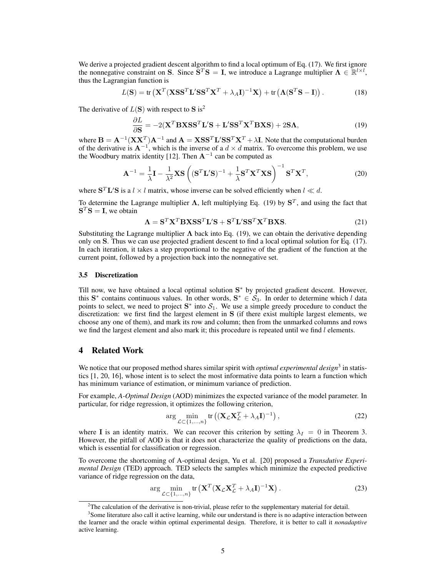We derive a projected gradient descent algorithm to find a local optimum of Eq. (17). We first ignore the nonnegative constraint on **S**. Since  $\tilde{\mathbf{S}}^T \mathbf{S} = \mathbf{I}$ , we introduce a Lagrange multiplier  $\mathbf{\Lambda} \in \mathbb{R}^{l \times l}$ , thus the Lagrangian function is

$$
L(\mathbf{S}) = \text{tr}\left(\mathbf{X}^T (\mathbf{X} \mathbf{S} \mathbf{S}^T \mathbf{L}' \mathbf{S} \mathbf{S}^T \mathbf{X}^T + \lambda_A \mathbf{I})^{-1} \mathbf{X}\right) + \text{tr}\left(\mathbf{\Lambda} (\mathbf{S}^T \mathbf{S} - \mathbf{I})\right). \tag{18}
$$

The derivative of  $L(S)$  with respect to S is<sup>2</sup>

$$
\frac{\partial L}{\partial \mathbf{S}} = -2(\mathbf{X}^T \mathbf{B} \mathbf{X} \mathbf{S} \mathbf{S}^T \mathbf{L}' \mathbf{S} + \mathbf{L}' \mathbf{S} \mathbf{S}^T \mathbf{X}^T \mathbf{B} \mathbf{X} \mathbf{S}) + 2 \mathbf{S} \mathbf{\Lambda},\tag{19}
$$

where  $\mathbf{B} = \mathbf{A}^{-1} (\mathbf{X} \mathbf{X}^T) \mathbf{A}^{-1}$  and  $\mathbf{A} = \mathbf{X} \mathbf{S} \mathbf{S}^T \mathbf{L}' \mathbf{S} \mathbf{S}^T \mathbf{X}^T + \lambda \mathbf{I}$ . Note that the computational burden of the derivative is **A***<sup>−</sup>*<sup>1</sup> , which is the inverse of a *d × d* matrix. To overcome this problem, we use the Woodbury matrix identity [12]. Then **A***<sup>−</sup>*<sup>1</sup> can be computed as

$$
\mathbf{A}^{-1} = \frac{1}{\lambda} \mathbf{I} - \frac{1}{\lambda^2} \mathbf{X} \mathbf{S} \left( (\mathbf{S}^T \mathbf{L}' \mathbf{S})^{-1} + \frac{1}{\lambda} \mathbf{S}^T \mathbf{X}^T \mathbf{X} \mathbf{S} \right)^{-1} \mathbf{S}^T \mathbf{X}^T,
$$
(20)

where  $S<sup>T</sup>L'S$  is a  $l \times l$  matrix, whose inverse can be solved efficiently when  $l \ll d$ .

To determine the Lagrange multiplier **Λ**, left multiplying Eq. (19) by **S** *T* , and using the fact that  $S^T S = I$ , we obtain

$$
\Lambda = \mathbf{S}^T \mathbf{X}^T \mathbf{B} \mathbf{X} \mathbf{S} \mathbf{S}^T \mathbf{L}' \mathbf{S} + \mathbf{S}^T \mathbf{L}' \mathbf{S} \mathbf{S}^T \mathbf{X}^T \mathbf{B} \mathbf{X} \mathbf{S}.
$$
 (21)

Substituting the Lagrange multiplier  $\Lambda$  back into Eq. (19), we can obtain the derivative depending only on **S**. Thus we can use projected gradient descent to find a local optimal solution for Eq. (17). In each iteration, it takes a step proportional to the negative of the gradient of the function at the current point, followed by a projection back into the nonnegative set.

#### 3.5 Discretization

Till now, we have obtained a local optimal solution **S** *<sup>∗</sup>* by projected gradient descent. However, this  $S^*$  contains continuous values. In other words,  $S^* \in S_3$ . In order to determine which *l* data points to select, we need to project  $S^*$  into  $S_1$ . We use a simple greedy procedure to conduct the discretization: we first find the largest element in **S** (if there exist multiple largest elements, we choose any one of them), and mark its row and column; then from the unmarked columns and rows we find the largest element and also mark it; this procedure is repeated until we find *l* elements.

## 4 Related Work

We notice that our proposed method shares similar spirit with *optimal experimental design*<sup>3</sup> in statistics [1, 20, 16], whose intent is to select the most informative data points to learn a function which has minimum variance of estimation, or minimum variance of prediction.

For example, *A-Optimal Design* (AOD) minimizes the expected variance of the model parameter. In particular, for ridge regression, it optimizes the following criterion,

$$
\arg\min_{\mathcal{L}\subset\{1,\ldots,n\}} \text{tr}\left((\mathbf{X}_{\mathcal{L}}\mathbf{X}_{\mathcal{L}}^T + \lambda_A \mathbf{I})^{-1}\right),\tag{22}
$$

where **I** is an identity matrix. We can recover this criterion by setting  $\lambda_I = 0$  in Theorem 3. However, the pitfall of AOD is that it does not characterize the quality of predictions on the data, which is essential for classification or regression.

To overcome the shortcoming of A-optimal design, Yu et al. [20] proposed a *Transdutive Experimental Design* (TED) approach. TED selects the samples which minimize the expected predictive variance of ridge regression on the data,

$$
\arg\min_{\mathcal{L}\subset\{1,\ldots,n\}}\text{tr}\left(\mathbf{X}^T(\mathbf{X}_{\mathcal{L}}\mathbf{X}_{\mathcal{L}}^T+\lambda_A\mathbf{I})^{-1}\mathbf{X}\right).
$$
\n(23)

 $2$ The calculation of the derivative is non-trivial, please refer to the supplementary material for detail.

<sup>&</sup>lt;sup>3</sup> Some literature also call it active learning, while our understand is there is no adaptive interaction between the learner and the oracle within optimal experimental design. Therefore, it is better to call it *nonadaptive* active learning.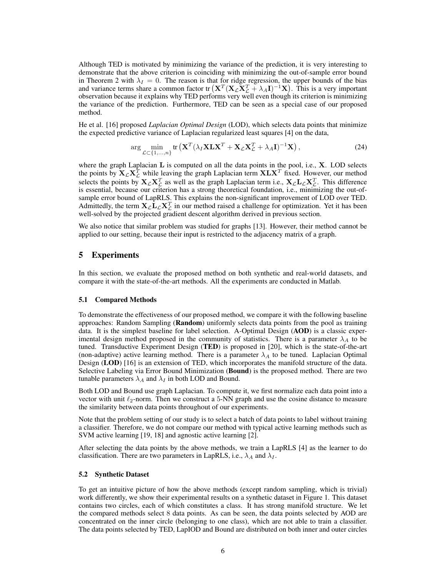Although TED is motivated by minimizing the variance of the prediction, it is very interesting to demonstrate that the above criterion is coinciding with minimizing the out-of-sample error bound in Theorem 2 with  $\lambda_I = 0$ . The reason is that for ridge regression, the upper bounds of the bias and variance terms share a common factor tr  $(X^T(X \zeta X^T_{\mathcal{L}} + \lambda_A I)^{-1}X)$ . This is a very important observation because it explains why TED performs very well even though its criterion is minimizing the variance of the prediction. Furthermore, TED can be seen as a special case of our proposed method.

He et al. [16] proposed *Laplacian Optimal Design* (LOD), which selects data points that minimize the expected predictive variance of Laplacian regularized least squares [4] on the data,

$$
\arg\min_{\mathcal{L}\subset\{1,\ldots,n\}} \text{tr}\left(\mathbf{X}^T(\lambda_I \mathbf{X} \mathbf{L} \mathbf{X}^T + \mathbf{X}_{\mathcal{L}} \mathbf{X}_{\mathcal{L}}^T + \lambda_A \mathbf{I})^{-1} \mathbf{X}\right),\tag{24}
$$

where the graph Laplacian **L** is computed on all the data points in the pool, i.e., **X**. LOD selects the points by  $\mathbf{X}_\mathcal{L} \mathbf{X}_\mathcal{L}^T$  while leaving the graph Laplacian term  $\mathbf{X} \mathbf{L} \mathbf{X}^T$  fixed. However, our method selects the points by  $X_{\mathcal{L}}X_{\mathcal{L}}^T$  as well as the graph Laplacian term i.e.,  $X_{\mathcal{L}}L_{\mathcal{L}}X_{\mathcal{L}}^T$ . This difference is essential, because our criterion has a strong theoretical foundation, i.e., minimizing the out-ofsample error bound of LapRLS. This explains the non-significant improvement of LOD over TED. Admittedly, the term  $X_{\mathcal{L}}L_{\mathcal{L}}X_{\mathcal{L}}^T$  in our method raised a challenge for optimization. Yet it has been well-solved by the projected gradient descent algorithm derived in previous section.

We also notice that similar problem was studied for graphs [13]. However, their method cannot be applied to our setting, because their input is restricted to the adjacency matrix of a graph.

## 5 Experiments

In this section, we evaluate the proposed method on both synthetic and real-world datasets, and compare it with the state-of-the-art methods. All the experiments are conducted in Matlab.

#### 5.1 Compared Methods

To demonstrate the effectiveness of our proposed method, we compare it with the following baseline approaches: Random Sampling (Random) uniformly selects data points from the pool as training data. It is the simplest baseline for label selection. A-Optimal Design (AOD) is a classic experimental design method proposed in the community of statistics. There is a parameter  $\lambda_A$  to be tuned. Transductive Experiment Design (TED) is proposed in [20], which is the state-of-the-art (non-adaptive) active learning method. There is a parameter  $\lambda_A$  to be tuned. Laplacian Optimal Design (LOD) [16] is an extension of TED, which incorporates the manifold structure of the data. Selective Labeling via Error Bound Minimization (Bound) is the proposed method. There are two tunable parameters  $\lambda_A$  and  $\lambda_I$  in both LOD and Bound.

Both LOD and Bound use graph Laplacian. To compute it, we first normalize each data point into a vector with unit *ℓ*2-norm. Then we construct a 5-NN graph and use the cosine distance to measure the similarity between data points throughout of our experiments.

Note that the problem setting of our study is to select a batch of data points to label without training a classifier. Therefore, we do not compare our method with typical active learning methods such as SVM active learning [19, 18] and agnostic active learning [2].

After selecting the data points by the above methods, we train a LapRLS [4] as the learner to do classification. There are two parameters in LapRLS, i.e.,  $\lambda_A$  and  $\lambda_I$ .

#### 5.2 Synthetic Dataset

To get an intuitive picture of how the above methods (except random sampling, which is trivial) work differently, we show their experimental results on a synthetic dataset in Figure 1. This dataset contains two circles, each of which constitutes a class. It has strong manifold structure. We let the compared methods select 8 data points. As can be seen, the data points selected by AOD are concentrated on the inner circle (belonging to one class), which are not able to train a classifier. The data points selected by TED, LapIOD and Bound are distributed on both inner and outer circles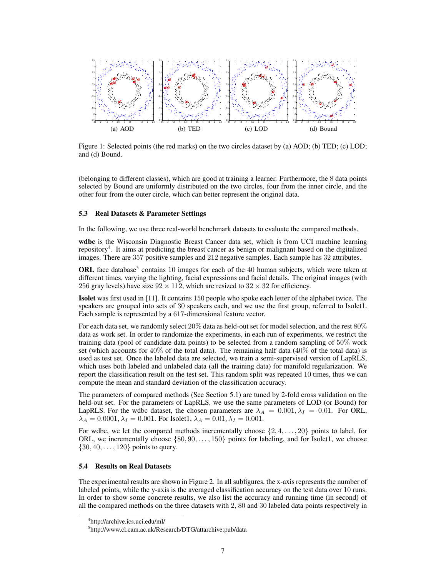

Figure 1: Selected points (the red marks) on the two circles dataset by (a) AOD; (b) TED; (c) LOD; and (d) Bound.

(belonging to different classes), which are good at training a learner. Furthermore, the 8 data points selected by Bound are uniformly distributed on the two circles, four from the inner circle, and the other four from the outer circle, which can better represent the original data.

### 5.3 Real Datasets & Parameter Settings

In the following, we use three real-world benchmark datasets to evaluate the compared methods.

wdbc is the Wisconsin Diagnostic Breast Cancer data set, which is from UCI machine learning repository<sup>4</sup>. It aims at predicting the breast cancer as benign or malignant based on the digitalized images. There are 357 positive samples and 212 negative samples. Each sample has 32 attributes.

ORL face database<sup>5</sup> contains 10 images for each of the 40 human subjects, which were taken at different times, varying the lighting, facial expressions and facial details. The original images (with 256 gray levels) have size  $92 \times 112$ , which are resized to  $32 \times 32$  for efficiency.

Isolet was first used in [11]. It contains 150 people who spoke each letter of the alphabet twice. The speakers are grouped into sets of 30 speakers each, and we use the first group, referred to Isolet1. Each sample is represented by a 617-dimensional feature vector.

For each data set, we randomly select 20% data as held-out set for model selection, and the rest 80% data as work set. In order to randomize the experiments, in each run of experiments, we restrict the training data (pool of candidate data points) to be selected from a random sampling of 50% work set (which accounts for  $40\%$  of the total data). The remaining half data  $(40\%$  of the total data) is used as test set. Once the labeled data are selected, we train a semi-supervised version of LapRLS, which uses both labeled and unlabeled data (all the training data) for manifold regularization. We report the classification result on the test set. This random split was repeated 10 times, thus we can compute the mean and standard deviation of the classification accuracy.

The parameters of compared methods (See Section 5.1) are tuned by 2-fold cross validation on the held-out set. For the parameters of LapRLS, we use the same parameters of LOD (or Bound) for LapRLS. For the wdbc dataset, the chosen parameters are  $\lambda_A = 0.001, \lambda_I = 0.01$ . For ORL,  $\lambda_A = 0.0001, \lambda_I = 0.001$ . For Isolet1,  $\lambda_A = 0.01, \lambda_I = 0.001$ .

For wdbc, we let the compared methods incrementally choose *{*2*,* 4*, . . . ,* 20*}* points to label, for ORL, we incrementally choose *{*80*,* 90*, . . . ,* 150*}* points for labeling, and for Isolet1, we choose *{*30*,* 40*, . . . ,* 120*}* points to query.

### 5.4 Results on Real Datasets

The experimental results are shown in Figure 2. In all subfigures, the x-axis represents the number of labeled points, while the y-axis is the averaged classification accuracy on the test data over 10 runs. In order to show some concrete results, we also list the accuracy and running time (in second) of all the compared methods on the three datasets with 2, 80 and 30 labeled data points respectively in

<sup>4</sup> http://archive.ics.uci.edu/ml/

<sup>5</sup> http://www.cl.cam.ac.uk/Research/DTG/attarchive:pub/data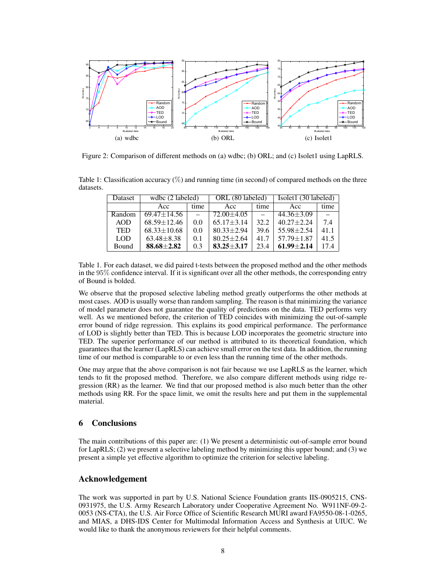

Figure 2: Comparison of different methods on (a) wdbc; (b) ORL; and (c) Isolet1 using LapRLS.

Table 1: Classification accuracy  $(\%)$  and running time (in second) of compared methods on the three datasets.

| Dataset    | wdbc (2 labeled)  |      | ORL (80 labeled) |      | Isolet1 (30 labeled) |      |
|------------|-------------------|------|------------------|------|----------------------|------|
|            | Acc               | time | Acc              | time | Acc                  | time |
| Random     | $69.47 \pm 14.56$ |      | $72.00 + 4.05$   |      | $44.36 \pm 3.09$     |      |
| AOD        | $68.59 + 12.46$   | 0.0  | $65.17 + 3.14$   | 32.2 | $40.27 + 2.24$       | 7.4  |
| <b>TED</b> | $68.33 \pm 10.68$ | 0.0  | $80.33 + 2.94$   | 39.6 | $55.98 + 2.54$       | 41.1 |
| <b>LOD</b> | $63.48 \pm 8.38$  | 0.1  | $80.25 \pm 2.64$ | 41.7 | $57.79 \pm 1.87$     | 41.5 |
| Bound      | $88.68 \pm 2.82$  | 0.3  | $83.25 + 3.17$   | 23.4 | $61.99 + 2.14$       | 17.4 |

Table 1. For each dataset, we did paired t-tests between the proposed method and the other methods in the 95% confidence interval. If it is significant over all the other methods, the corresponding entry of Bound is bolded.

We observe that the proposed selective labeling method greatly outperforms the other methods at most cases. AOD is usually worse than random sampling. The reason is that minimizing the variance of model parameter does not guarantee the quality of predictions on the data. TED performs very well. As we mentioned before, the criterion of TED coincides with minimizing the out-of-sample error bound of ridge regression. This explains its good empirical performance. The performance of LOD is slightly better than TED. This is because LOD incorporates the geometric structure into TED. The superior performance of our method is attributed to its theoretical foundation, which guarantees that the learner (LapRLS) can achieve small error on the test data. In addition, the running time of our method is comparable to or even less than the running time of the other methods.

One may argue that the above comparison is not fair because we use LapRLS as the learner, which tends to fit the proposed method. Therefore, we also compare different methods using ridge regression (RR) as the learner. We find that our proposed method is also much better than the other methods using RR. For the space limit, we omit the results here and put them in the supplemental material.

### 6 Conclusions

The main contributions of this paper are: (1) We present a deterministic out-of-sample error bound for LapRLS; (2) we present a selective labeling method by minimizing this upper bound; and (3) we present a simple yet effective algorithm to optimize the criterion for selective labeling.

## Acknowledgement

The work was supported in part by U.S. National Science Foundation grants IIS-0905215, CNS-0931975, the U.S. Army Research Laboratory under Cooperative Agreement No. W911NF-09-2- 0053 (NS-CTA), the U.S. Air Force Office of Scientific Research MURI award FA9550-08-1-0265, and MIAS, a DHS-IDS Center for Multimodal Information Access and Synthesis at UIUC. We would like to thank the anonymous reviewers for their helpful comments.